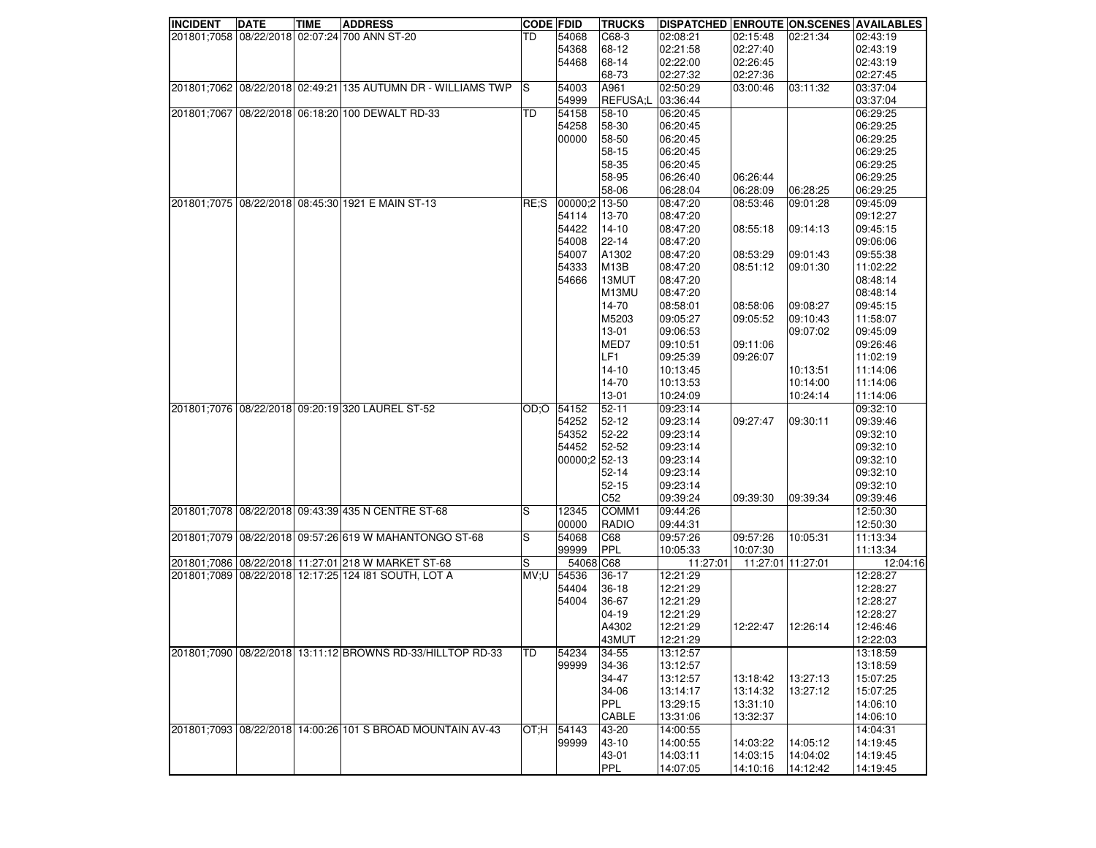| <b>INCIDENT</b> | <b>DATE</b> | <b>TIME</b> | <b>ADDRESS</b>                                               | <b>CODE FDID</b> |               | <b>TRUCKS</b>      | DISPATCHED ENROUTE ON SCENES AVAILABLES |          |                   |          |
|-----------------|-------------|-------------|--------------------------------------------------------------|------------------|---------------|--------------------|-----------------------------------------|----------|-------------------|----------|
|                 |             |             | 201801;7058 08/22/2018 02:07:24 700 ANN ST-20                | TD               | 54068         | C68-3              | 02:08:21                                | 02:15:48 | 02:21:34          | 02:43:19 |
|                 |             |             |                                                              |                  | 54368         | 68-12              | 02:21:58                                | 02:27:40 |                   | 02:43:19 |
|                 |             |             |                                                              |                  | 54468         | 68-14              | 02:22:00                                | 02:26:45 |                   | 02:43:19 |
|                 |             |             |                                                              |                  |               | 68-73              | 02:27:32                                | 02:27:36 |                   | 02:27:45 |
|                 |             |             | 201801;7062 08/22/2018 02:49:21 135 AUTUMN DR - WILLIAMS TWP | 'S               | 54003         | A961               | 02:50:29                                | 03:00:46 | 03:11:32          | 03:37:04 |
|                 |             |             |                                                              |                  | 54999         | REFUSA;L 03:36:44  |                                         |          |                   | 03:37:04 |
|                 |             |             | 201801;7067 08/22/2018 06:18:20 100 DEWALT RD-33             | <b>TD</b>        | 54158         | 58-10              | 06:20:45                                |          |                   | 06:29:25 |
|                 |             |             |                                                              |                  | 54258         | 58-30              | 06:20:45                                |          |                   | 06:29:25 |
|                 |             |             |                                                              |                  | 00000         | 58-50              | 06:20:45                                |          |                   | 06:29:25 |
|                 |             |             |                                                              |                  |               |                    |                                         |          |                   |          |
|                 |             |             |                                                              |                  |               | 58-15              | 06:20:45                                |          |                   | 06:29:25 |
|                 |             |             |                                                              |                  |               | 58-35              | 06:20:45                                |          |                   | 06:29:25 |
|                 |             |             |                                                              |                  |               | 58-95              | 06:26:40                                | 06:26:44 |                   | 06:29:25 |
|                 |             |             |                                                              |                  |               | 58-06              | 06:28:04                                | 06:28:09 | 06:28:25          | 06:29:25 |
|                 |             |             | 201801:7075 08/22/2018 08:45:30 1921 E MAIN ST-13            | RE:              | 00000:2       | 13-50              | 08:47:20                                | 08:53:46 | 09:01:28          | 09:45:09 |
|                 |             |             |                                                              |                  | 54114         | 13-70              | 08:47:20                                |          |                   | 09:12:27 |
|                 |             |             |                                                              |                  | 54422         | $14 - 10$          | 08:47:20                                | 08:55:18 | 09:14:13          | 09:45:15 |
|                 |             |             |                                                              |                  | 54008         | 22-14              | 08:47:20                                |          |                   | 09:06:06 |
|                 |             |             |                                                              |                  | 54007         | A1302              | 08:47:20                                | 08:53:29 | 09:01:43          | 09:55:38 |
|                 |             |             |                                                              |                  | 54333         | M <sub>13</sub> B  | 08:47:20                                | 08:51:12 | 09:01:30          | 11:02:22 |
|                 |             |             |                                                              |                  | 54666         | 13MUT              | 08:47:20                                |          |                   | 08:48:14 |
|                 |             |             |                                                              |                  |               | M <sub>13</sub> MU | 08:47:20                                |          |                   | 08:48:14 |
|                 |             |             |                                                              |                  |               | 14-70              | 08:58:01                                | 08:58:06 | 09:08:27          | 09:45:15 |
|                 |             |             |                                                              |                  |               | M5203              | 09:05:27                                | 09:05:52 | 09:10:43          | 11:58:07 |
|                 |             |             |                                                              |                  |               | $13 - 01$          | 09:06:53                                |          | 09:07:02          | 09:45:09 |
|                 |             |             |                                                              |                  |               | MED7               | 09:10:51                                | 09:11:06 |                   | 09:26:46 |
|                 |             |             |                                                              |                  |               | LF1                | 09:25:39                                | 09:26:07 |                   | 11:02:19 |
|                 |             |             |                                                              |                  |               | $14 - 10$          | 10:13:45                                |          | 10:13:51          | 11:14:06 |
|                 |             |             |                                                              |                  |               | 14-70              | 10:13:53                                |          | 10:14:00          | 11:14:06 |
|                 |             |             |                                                              |                  |               | 13-01              |                                         |          |                   |          |
|                 |             |             |                                                              |                  |               |                    | 10:24:09                                |          | 10:24:14          | 11:14:06 |
|                 |             |             | 201801;7076 08/22/2018 09:20:19 320 LAUREL ST-52             | OD:O             | 54152         | 52-11              | 09:23:14                                |          |                   | 09:32:10 |
|                 |             |             |                                                              |                  | 54252         | 52-12              | 09:23:14                                | 09:27:47 | 09:30:11          | 09:39:46 |
|                 |             |             |                                                              |                  | 54352         | 52-22              | 09:23:14                                |          |                   | 09:32:10 |
|                 |             |             |                                                              |                  | 54452         | 52-52              | 09:23:14                                |          |                   | 09:32:10 |
|                 |             |             |                                                              |                  | 00000;2 52-13 |                    | 09:23:14                                |          |                   | 09:32:10 |
|                 |             |             |                                                              |                  |               | $52 - 14$          | 09:23:14                                |          |                   | 09:32:10 |
|                 |             |             |                                                              |                  |               | $52 - 15$          | 09:23:14                                |          |                   | 09:32:10 |
|                 |             |             |                                                              |                  |               | C52                | 09:39:24                                | 09:39:30 | 09:39:34          | 09:39:46 |
|                 |             |             | 201801;7078 08/22/2018 09:43:39 435 N CENTRE ST-68           | S                | 12345         | COMM1              | 09:44:26                                |          |                   | 12:50:30 |
|                 |             |             |                                                              |                  | 00000         | <b>RADIO</b>       | 09:44:31                                |          |                   | 12:50:30 |
|                 |             |             | 201801;7079 08/22/2018 09:57:26 619 W MAHANTONGO ST-68       | S                | 54068         | C68                | 09:57:26                                | 09:57:26 | 10:05:31          | 11:13:34 |
|                 |             |             |                                                              |                  | 99999         | PPL                | 10:05:33                                | 10:07:30 |                   | 11:13:34 |
|                 |             |             | 201801;7086 08/22/2018 11:27:01 218 W MARKET ST-68           | S                | 54068 C68     |                    | 11:27:01                                |          | 11:27:01 11:27:01 | 12:04:16 |
|                 |             |             | 201801;7089 08/22/2018 12:17:25 124 181 SOUTH, LOT A         | UV:U             | 54536         | 36-17              | 12:21:29                                |          |                   | 12:28:27 |
|                 |             |             |                                                              |                  | 54404         | 36-18              | 12:21:29                                |          |                   | 12:28:27 |
|                 |             |             |                                                              |                  | 54004         | 36-67              | 12:21:29                                |          |                   | 12:28:27 |
|                 |             |             |                                                              |                  |               | 04-19              | 12:21:29                                |          |                   | 12:28:27 |
|                 |             |             |                                                              |                  |               | A4302              | 12:21:29                                | 12:22:47 | 12:26:14          | 12:46:46 |
|                 |             |             |                                                              |                  |               |                    | 12:21:29                                |          |                   | 12:22:03 |
|                 |             |             |                                                              |                  |               | 43MUT              |                                         |          |                   |          |
|                 |             |             | 201801;7090 08/22/2018 13:11:12 BROWNS RD-33/HILLTOP RD-33   | TD               | 54234         | 34-55              | 13:12:57                                |          |                   | 13:18:59 |
|                 |             |             |                                                              |                  | 99999         | 34-36              | 13:12:57                                |          |                   | 13:18:59 |
|                 |             |             |                                                              |                  |               | 34-47              | 13:12:57                                | 13:18:42 | 13:27:13          | 15:07:25 |
|                 |             |             |                                                              |                  |               | 34-06              | 13:14:17                                | 13:14:32 | 13:27:12          | 15:07:25 |
|                 |             |             |                                                              |                  |               | <b>PPL</b>         | 13:29:15                                | 13:31:10 |                   | 14:06:10 |
|                 |             |             |                                                              |                  |               | CABLE              | 13:31:06                                | 13:32:37 |                   | 14:06:10 |
|                 |             |             | 201801;7093 08/22/2018 14:00:26 101 S BROAD MOUNTAIN AV-43   | OT; H            | 54143         | 43-20              | 14:00:55                                |          |                   | 14:04:31 |
|                 |             |             |                                                              |                  | 99999         | 43-10              | 14:00:55                                | 14:03:22 | 14:05:12          | 14:19:45 |
|                 |             |             |                                                              |                  |               | 43-01              | 14:03:11                                | 14:03:15 | 14:04:02          | 14:19:45 |
|                 |             |             |                                                              |                  |               | PPL                | 14:07:05                                | 14:10:16 | 14:12:42          | 14:19:45 |